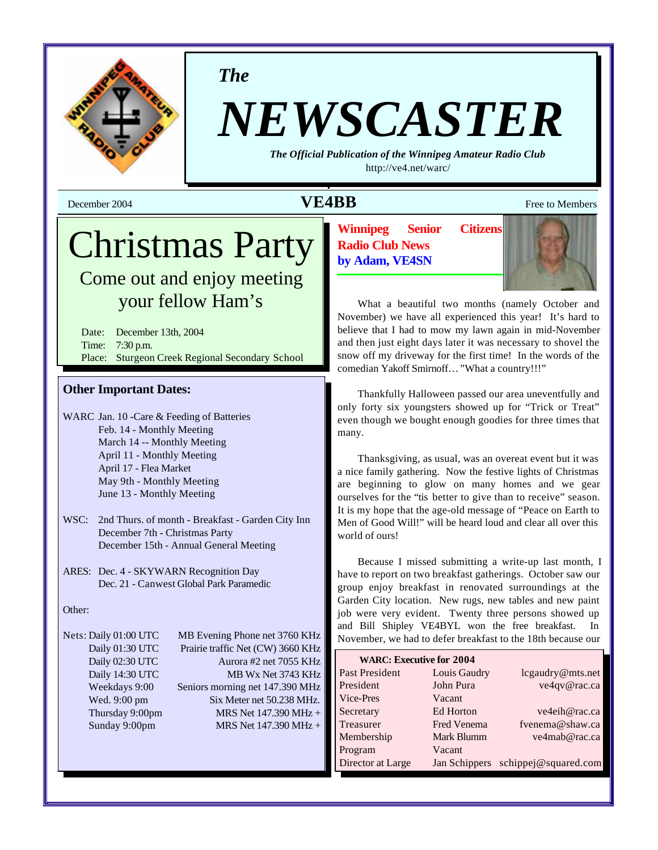

*The*

# *NEWSCASTER*

*The Official Publication of the Winnipeg Amateur Radio Club* <http://ve4.net/warc/>

## **December 2004 VE4BB** Free to Members

## Christmas Party

Come out and enjoy meeting your fellow Ham's

Date: December 13th, 2004 Time: 7:30 p.m. Place: Sturgeon Creek Regional Secondary School

## **Other Important Dates:**

- WARC Jan. 10 -Care & Feeding of Batteries Feb. 14 - Monthly Meeting March 14 -- Monthly Meeting April 11 - Monthly Meeting April 17 - Flea Market May 9th - Monthly Meeting June 13 - Monthly Meeting
- WSC: 2nd Thurs. of month Breakfast Garden City Inn December 7th - Christmas Party December 15th - Annual General Meeting
- ARES: Dec. 4 SKYWARN Recognition Day Dec. 21 - Canwest Global Park Paramedic

## Other:

Nets: Daily 01:00 UTC MB Evening Phone net 3760 KHz Daily 01:30 UTC Prairie traffic Net (CW) 3660 KHz Daily 02:30 UTC Aurora #2 net 7055 KHz Daily 14:30 UTC MB Wx Net 3743 KHz Weekdays 9:00 Seniors morning net 147.390 MHz Wed. 9:00 pm Six Meter net 50.238 MHz. Thursday 9:00pm MRS Net  $147.390 \text{ MHz} +$ Sunday 9:00pm MRS Net 147.390 MHz +

**Winnipeg Senior Citizens Radio Club News by Adam, VE4SN**



What a beautiful two months (namely October and November) we have all experienced this year! It's hard to believe that I had to mow my lawn again in mid-November and then just eight days later it was necessary to shovel the snow off my driveway for the first time! In the words of the comedian Yakoff Smirnoff… "What a country!!!"

Thankfully Halloween passed our area uneventfully and only forty six youngsters showed up for "Trick or Treat" even though we bought enough goodies for three times that many.

Thanksgiving, as usual, was an overeat event but it was a nice family gathering. Now the festive lights of Christmas are beginning to glow on many homes and we gear ourselves for the "tis better to give than to receive" season. It is my hope that the age-old message of "Peace on Earth to Men of Good Will!" will be heard loud and clear all over this world of ours!

Because I missed submitting a write-up last month, I have to report on two breakfast gatherings. October saw our group enjoy breakfast in renovated surroundings at the Garden City location. New rugs, new tables and new paint job were very evident. Twenty three persons showed up and Bill Shipley VE4BYL won the free breakfast. In November, we had to defer breakfast to the 18th because our

| <b>WARC: Executive for 2004</b> |                    |                                    |
|---------------------------------|--------------------|------------------------------------|
| Past President                  | Louis Gaudry       | lcgaudry@mts.net                   |
| President                       | John Pura          | ve4qv@rac.ca                       |
| Vice-Pres                       | Vacant             |                                    |
| Secretary                       | Ed Horton          | ve4eih@rac.ca                      |
| Treasurer                       | <b>Fred Venema</b> | fvenema@shaw.ca                    |
| Membership                      | Mark Blumm         | ve4mab@rac.ca                      |
| Program                         | Vacant             |                                    |
| Director at Large               |                    | Jan Schippers schippej@squared.com |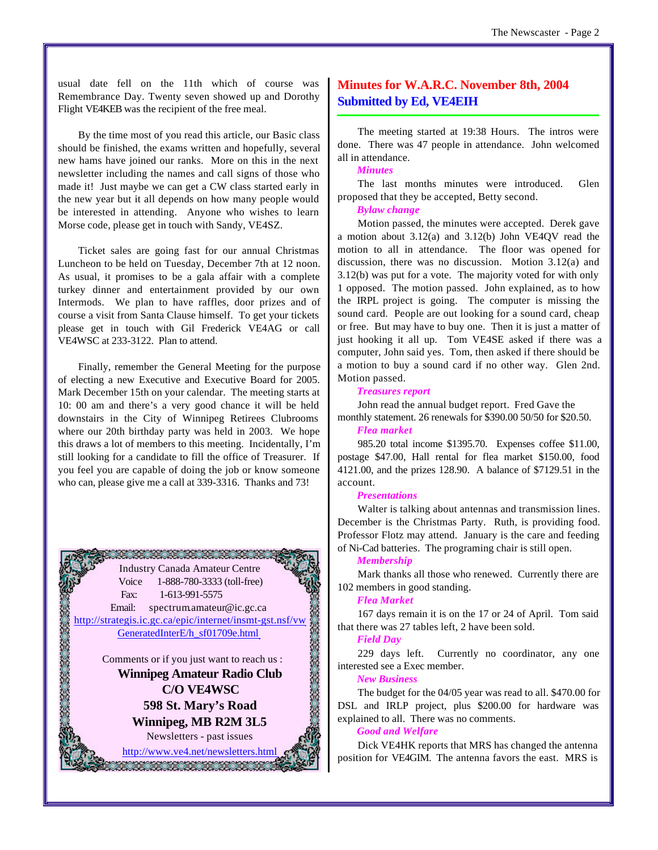usual date fell on the 11th which of course was Remembrance Day. Twenty seven showed up and Dorothy Flight VE4KEB was the recipient of the free meal.

By the time most of you read this article, our Basic class should be finished, the exams written and hopefully, several new hams have joined our ranks. More on this in the next newsletter including the names and call signs of those who made it! Just maybe we can get a CW class started early in the new year but it all depends on how many people would be interested in attending. Anyone who wishes to learn Morse code, please get in touch with Sandy, VE4SZ.

Ticket sales are going fast for our annual Christmas Luncheon to be held on Tuesday, December 7th at 12 noon. As usual, it promises to be a gala affair with a complete turkey dinner and entertainment provided by our own Intermods. We plan to have raffles, door prizes and of course a visit from Santa Clause himself. To get your tickets please get in touch with Gil Frederick VE4AG or call VE4WSC at 233-3122. Plan to attend.

Finally, remember the General Meeting for the purpose of electing a new Executive and Executive Board for 2005. Mark December 15th on your calendar. The meeting starts at 10: 00 am and there's a very good chance it will be held downstairs in the City of Winnipeg Retirees Clubrooms where our 20th birthday party was held in 2003. We hope this draws a lot of members to this meeting. Incidentally, I'm still looking for a candidate to fill the office of Treasurer. If you feel you are capable of doing the job or know someone who can, please give me a call at 339-3316. Thanks and 73!



## **Minutes for W.A.R.C. November 8th, 2004 Submitted by Ed, VE4EIH**

The meeting started at 19:38 Hours. The intros were done. There was 47 people in attendance. John welcomed all in attendance.

## *Minutes*

The last months minutes were introduced. Glen proposed that they be accepted, Betty second.

#### *Bylaw change*

Motion passed, the minutes were accepted. Derek gave a motion about 3.12(a) and 3.12(b) John VE4QV read the motion to all in attendance. The floor was opened for discussion, there was no discussion. Motion 3.12(a) and 3.12(b) was put for a vote. The majority voted for with only 1 opposed. The motion passed. John explained, as to how the IRPL project is going. The computer is missing the sound card. People are out looking for a sound card, cheap or free. But may have to buy one. Then it is just a matter of just hooking it all up. Tom VE4SE asked if there was a computer, John said yes. Tom, then asked if there should be a motion to buy a sound card if no other way. Glen 2nd. Motion passed.

#### *Treasures report*

John read the annual budget report. Fred Gave the monthly statement. 26 renewals for \$390.00 50/50 for \$20.50.

## *Flea market*

985.20 total income \$1395.70. Expenses coffee \$11.00, postage \$47.00, Hall rental for flea market \$150.00, food 4121.00, and the prizes 128.90. A balance of \$7129.51 in the account.

#### *Presentations*

Walter is talking about antennas and transmission lines. December is the Christmas Party. Ruth, is providing food. Professor Flotz may attend. January is the care and feeding of Ni-Cad batteries. The programing chair is still open.

#### *Membership*

Mark thanks all those who renewed. Currently there are 102 members in good standing.

#### *Flea Market*

167 days remain it is on the 17 or 24 of April. Tom said that there was 27 tables left, 2 have been sold.

## *Field Day*

229 days left. Currently no coordinator, any one interested see a Exec member.

#### *New Business*

The budget for the 04/05 year was read to all. \$470.00 for DSL and IRLP project, plus \$200.00 for hardware was explained to all. There was no comments.

## *Good and Welfare*

Dick VE4HK reports that MRS has changed the antenna position for VE4GIM. The antenna favors the east. MRS is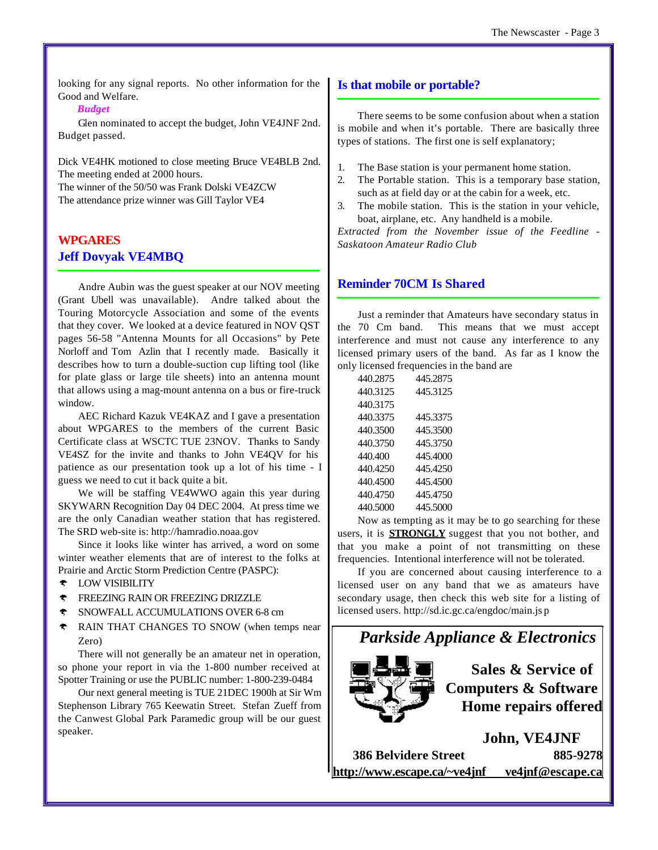looking for any signal reports. No other information for the Good and Welfare.

## *Budget*

Glen nominated to accept the budget, John VE4JNF 2nd. Budget passed.

Dick VE4HK motioned to close meeting Bruce VE4BLB 2nd. The meeting ended at 2000 hours. The winner of the 50/50 was Frank Dolski VE4ZCW

The attendance prize winner was Gill Taylor VE4

## **WPGARES Jeff Dovyak VE4MBQ**

Andre Aubin was the guest speaker at our NOV meeting (Grant Ubell was unavailable). Andre talked about the Touring Motorcycle Association and some of the events that they cover. We looked at a device featured in NOV QST pages 56-58 "Antenna Mounts for all Occasions" by Pete Norloff and Tom Azlin that I recently made. Basically it describes how to turn a double-suction cup lifting tool (like for plate glass or large tile sheets) into an antenna mount that allows using a mag-mount antenna on a bus or fire-truck window.

AEC Richard Kazuk VE4KAZ and I gave a presentation about WPGARES to the members of the current Basic Certificate class at WSCTC TUE 23NOV. Thanks to Sandy VE4SZ for the invite and thanks to John VE4QV for his patience as our presentation took up a lot of his time - I guess we need to cut it back quite a bit.

We will be staffing VE4WWO again this year during SKYWARN Recognition Day 04 DEC 2004. At press time we are the only Canadian weather station that has registered. The SRD web-site is: <http://hamradio.noaa.gov>

Since it looks like winter has arrived, a word on some winter weather elements that are of interest to the folks at Prairie and Arctic Storm Prediction Centre (PASPC):

- $\triangleleft$  LOW VISIBILITY
- FREEZING RAIN OR FREEZING DRIZZLE
- SNOWFALL ACCUMULATIONS OVER 6-8 cm
- **RAIN THAT CHANGES TO SNOW (when temps near** Zero)

There will not generally be an amateur net in operation, so phone your report in via the 1-800 number received at Spotter Training or use the PUBLIC number: 1-800-239-0484

Our next general meeting is TUE 21DEC 1900h at Sir Wm Stephenson Library 765 Keewatin Street. Stefan Zueff from the Canwest Global Park Paramedic group will be our guest speaker.

## **Is that mobile or portable?**

There seems to be some confusion about when a station is mobile and when it's portable. There are basically three types of stations. The first one is self explanatory;

- 1. The Base station is your permanent home station.
- 2. The Portable station. This is a temporary base station, such as at field day or at the cabin for a week, etc.
- 3. The mobile station. This is the station in your vehicle, boat, airplane, etc. Any handheld is a mobile.

*Extracted from the November issue of the Feedline - Saskatoon Amateur Radio Club*

## **Reminder 70CM Is Shared**

Just a reminder that Amateurs have secondary status in the 70 Cm band. This means that we must accept interference and must not cause any interference to any licensed primary users of the band. As far as I know the only licensed frequencies in the band are

| 440.2875 | 445.2875 |
|----------|----------|
| 440.3125 | 445 3125 |
| 440.3175 |          |
| 440.3375 | 445.3375 |
| 440.3500 | 445.3500 |
| 440.3750 | 445.3750 |
| 440.400  | 445.4000 |
| 440.4250 | 445 4250 |
| 440.4500 | 445 4500 |
| 440 4750 | 445 4750 |
| 440.5000 | 445.5000 |

Now as tempting as it may be to go searching for these users, it is **STRONGLY** suggest that you not bother, and that you make a point of not transmitting on these frequencies. Intentional interference will not be tolerated.

If you are concerned about causing interference to a licensed user on any band that we as amateurs have secondary usage, then check this web site for a listing of licensed users. <http://sd.ic.gc.ca/engdoc/main.js> p



| <b>386 Belvidere Street</b>  | 885-9278         |
|------------------------------|------------------|
| http://www.escape.ca/~ve4jnf | ve4jnf@escape.ca |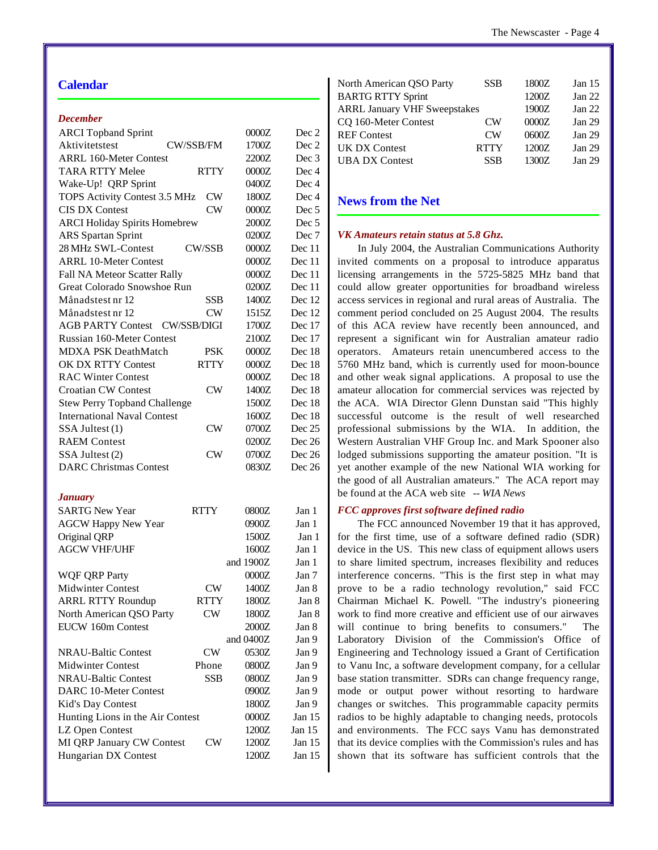## **Calendar**

## *December*

| <b>ARCI</b> Topband Sprint           |               | 0000Z       | Dec 2            |
|--------------------------------------|---------------|-------------|------------------|
| Aktivitetstest                       | CW/SSB/FM     | 1700Z       | Dec 2            |
| <b>ARRL 160-Meter Contest</b>        |               | 2200Z       | Dec 3            |
| <b>TARA RTTY Melee</b>               | <b>RTTY</b>   | 0000Z       | Dec 4            |
| Wake-Up! QRP Sprint                  |               | 0400Z       | Dec 4            |
| TOPS Activity Contest 3.5 MHz        | CW            | 1800Z       | Dec 4            |
| <b>CIS DX Contest</b>                | CW            | 0000Z       | Dec <sub>5</sub> |
| <b>ARCI Holiday Spirits Homebrew</b> |               | 2000Z       | Dec <sub>5</sub> |
| <b>ARS</b> Spartan Sprint            |               | 0200Z       | Dec 7            |
| 28 MHz SWL-Contest                   | <b>CW/SSB</b> | 0000Z       | Dec 11           |
| <b>ARRL 10-Meter Contest</b>         |               | 0000Z       | Dec 11           |
| Fall NA Meteor Scatter Rally         |               | 0000Z       | Dec 11           |
| Great Colorado Snowshoe Run          |               | 0200Z       | Dec 11           |
| Månadstest nr 12                     | SSB           | 1400Z       | Dec 12           |
| Månadstest nr 12                     | CW            | 1515Z       | Dec 12           |
| <b>AGB PARTY Contest</b>             | CW/SSB/DIGI   | 1700Z       | Dec 17           |
| <b>Russian 160-Meter Contest</b>     |               | 2100Z       | Dec 17           |
| <b>MDXA PSK DeathMatch</b>           | PSK           | 0000Z       | Dec 18           |
| <b>OK DX RTTY Contest</b>            | <b>RTTY</b>   | 0000Z       | Dec 18           |
| <b>RAC Winter Contest</b>            |               | 0000Z       | Dec 18           |
| <b>Croatian CW Contest</b>           | CW            | 1400Z       | Dec 18           |
| <b>Stew Perry Topband Challenge</b>  |               | 1500Z       | Dec 18           |
| <b>International Naval Contest</b>   |               | 1600Z       | Dec 18           |
| SSA Jultest (1)                      | CW            | 0700Z       | Dec 25           |
| <b>RAEM</b> Contest                  |               | 0200Z       | Dec 26           |
| SSA Jultest (2)                      | CW            | 0700Z       | Dec 26           |
| <b>DARC Christmas Contest</b>        |               | 0830Z       | Dec 26           |
| <b>January</b>                       |               |             |                  |
| <b>SARTG New Year</b>                | <b>RTTY</b>   | 0800Z       | Jan 1            |
| <b>AGCW Happy New Year</b>           |               | 0900Z       | Jan 1            |
| Original QRP                         |               | 1500Z       | Jan 1            |
| <b>AGCW VHF/UHF</b>                  |               | 1600Z       | Jan 1            |
|                                      |               | and 1900Z   | Jan 1            |
| <b>WQF QRP Party</b>                 |               | 0000Z       | Jan 7            |
| <b>Midwinter Contest</b>             | CW            | 1400Z       | Jan 8            |
| <b>ARRL RTTY Roundup</b>             | <b>RTTY</b>   | 1800Z       | Jan 8            |
| North American QSO Party             | <b>CW</b>     | 1800Z       | Jan 8            |
| EUCW 160m Contest                    |               | 2000Z       | Jan 8            |
|                                      |               | and $0400Z$ | Jan 9            |
| <b>NRAU-Baltic Contest</b>           | CW            | 0530Z       |                  |
| <b>Midwinter Contest</b>             |               |             | Jan 9            |
| <b>NRAU-Baltic Contest</b>           | Phone         | 0800Z       | Jan 9            |
|                                      | <b>SSB</b>    | 0800Z       | Jan 9            |
| <b>DARC 10-Meter Contest</b>         |               | 0900Z       | Jan 9            |
| Kid's Day Contest                    |               | 1800Z       | Jan 9            |
| Hunting Lions in the Air Contest     |               | 0000Z       | Jan 15           |
| LZ Open Contest                      |               | 1200Z       | Jan $15$         |
| MI QRP January CW Contest            | $\text{CW}$   | 1200Z       | Jan 15           |
| Hungarian DX Contest                 |               | 1200Z       | Jan 15           |

| North American QSO Party            | <b>SSB</b>     | 1800Z | Jan 15 |
|-------------------------------------|----------------|-------|--------|
| <b>BARTG RTTY Sprint</b>            |                | 1200Z | Jan 22 |
| <b>ARRL January VHF Sweepstakes</b> |                | 1900Z | Jan 22 |
| CQ 160-Meter Contest                | CW <sub></sub> | 0000Z | Jan 29 |
| <b>REF Contest</b>                  | CW <sub></sub> | 0600Z | Jan 29 |
| <b>UK DX Contest</b>                | <b>RTTY</b>    | 1200Z | Jan 29 |
| <b>UBA DX Contest</b>               | <b>SSB</b>     | 1300Z | Jan 29 |
|                                     |                |       |        |

## **News from the Net**

#### *VK Amateurs retain status at 5.8 Ghz.*

In July 2004, the Australian Communications Authority invited comments on a proposal to introduce apparatus licensing arrangements in the 5725-5825 MHz band that could allow greater opportunities for broadband wireless access services in regional and rural areas of Australia. The comment period concluded on 25 August 2004. The results of this ACA review have recently been announced, and represent a significant win for Australian amateur radio operators. Amateurs retain unencumbered access to the 5760 MHz band, which is currently used for moon-bounce and other weak signal applications. A proposal to use the amateur allocation for commercial services was rejected by the ACA. WIA Director Glenn Dunstan said "This highly successful outcome is the result of well researched professional submissions by the WIA. In addition, the Western Australian VHF Group Inc. and Mark Spooner also lodged submissions supporting the amateur position. "It is yet another example of the new National WIA working for the good of all Australian amateurs." The ACA report may be found at the ACA web site *-- WIA News*

## *FCC approves first software defined radio*

The FCC announced November 19 that it has approved, for the first time, use of a software defined radio (SDR) device in the US. This new class of equipment allows users to share limited spectrum, increases flexibility and reduces interference concerns. "This is the first step in what may prove to be a radio technology revolution," said FCC Chairman Michael K. Powell. "The industry's pioneering work to find more creative and efficient use of our airwaves will continue to bring benefits to consumers." The Laboratory Division of the Commission's Office of Engineering and Technology issued a Grant of Certification to Vanu Inc, a software development company, for a cellular base station transmitter. SDRs can change frequency range, mode or output power without resorting to hardware changes or switches. This programmable capacity permits radios to be highly adaptable to changing needs, protocols and environments. The FCC says Vanu has demonstrated that its device complies with the Commission's rules and has shown that its software has sufficient controls that the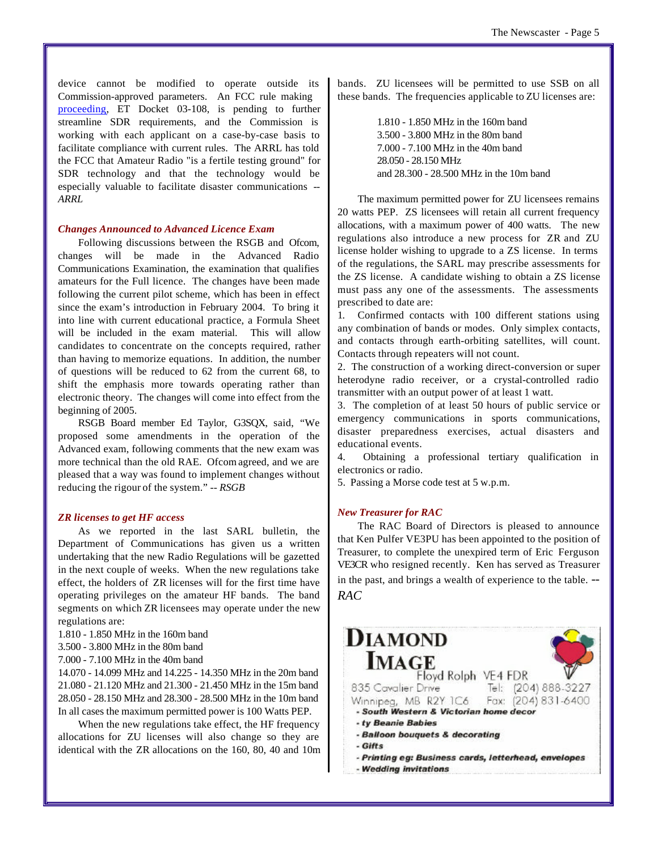device cannot be modified to operate outside its Commission-approved parameters. An FCC rule making proceeding, ET Docket 03-108, is pending to further streamline SDR requirements, and the Commission is working with each applicant on a case-by-case basis to facilitate compliance with current rules. The ARRL has told the FCC that Amateur Radio "is a fertile testing ground" for SDR technology and that the technology would be especially valuable to facilitate disaster communications *-- ARRL*

#### *Changes Announced to Advanced Licence Exam*

Following discussions between the RSGB and Ofcom, changes will be made in the Advanced Radio Communications Examination, the examination that qualifies amateurs for the Full licence. The changes have been made following the current pilot scheme, which has been in effect since the exam's introduction in February 2004. To bring it into line with current educational practice, a Formula Sheet will be included in the exam material. This will allow candidates to concentrate on the concepts required, rather than having to memorize equations. In addition, the number of questions will be reduced to 62 from the current 68, to shift the emphasis more towards operating rather than electronic theory. The changes will come into effect from the beginning of 2005.

RSGB Board member Ed Taylor, G3SQX, said, "We proposed some amendments in the operation of the Advanced exam, following comments that the new exam was more technical than the old RAE. Ofcom agreed, and we are pleased that a way was found to implement changes without reducing the rigour of the system." *-- RSGB*

## *ZR licenses to get HF access*

As we reported in the last SARL bulletin, the Department of Communications has given us a written undertaking that the new Radio Regulations will be gazetted in the next couple of weeks. When the new regulations take effect, the holders of ZR licenses will for the first time have operating privileges on the amateur HF bands. The band segments on which ZR licensees may operate under the new regulations are:

- 1.810 1.850 MHz in the 160m band
- 3.500 3.800 MHz in the 80m band
- 7.000 7.100 MHz in the 40m band

14.070 - 14.099 MHz and 14.225 - 14.350 MHz in the 20m band 21.080 - 21.120 MHz and 21.300 - 21.450 MHz in the 15m band 28.050 - 28.150 MHz and 28.300 - 28.500 MHz in the 10m band In all cases the maximum permitted power is 100 Watts PEP.

When the new regulations take effect, the HF frequency allocations for ZU licenses will also change so they are identical with the ZR allocations on the 160, 80, 40 and 10m bands. ZU licensees will be permitted to use SSB on all these bands. The frequencies applicable to ZU licenses are:

> 1.810 - 1.850 MHz in the 160m band 3.500 - 3.800 MHz in the 80m band 7.000 - 7.100 MHz in the 40m band 28.050 - 28.150 MHz and 28.300 - 28.500 MHz in the 10m band

The maximum permitted power for ZU licensees remains 20 watts PEP. ZS licensees will retain all current frequency allocations, with a maximum power of 400 watts. The new regulations also introduce a new process for ZR and ZU license holder wishing to upgrade to a ZS license. In terms of the regulations, the SARL may prescribe assessments for the ZS license. A candidate wishing to obtain a ZS license must pass any one of the assessments. The assessments prescribed to date are:

1. Confirmed contacts with 100 different stations using any combination of bands or modes. Only simplex contacts, and contacts through earth-orbiting satellites, will count. Contacts through repeaters will not count.

2. The construction of a working direct-conversion or super heterodyne radio receiver, or a crystal-controlled radio transmitter with an output power of at least 1 watt.

3. The completion of at least 50 hours of public service or emergency communications in sports communications, disaster preparedness exercises, actual disasters and educational events.

4. Obtaining a professional tertiary qualification in electronics or radio.

5. Passing a Morse code test at 5 w.p.m.

## *New Treasurer for RAC*

The RAC Board of Directors is pleased to announce that Ken Pulfer VE3PU has been appointed to the position of Treasurer, to complete the unexpired term of Eric Ferguson VE3CR who resigned recently. Ken has served as Treasurer in the past, and brings a wealth of experience to the table. *-- RAC*

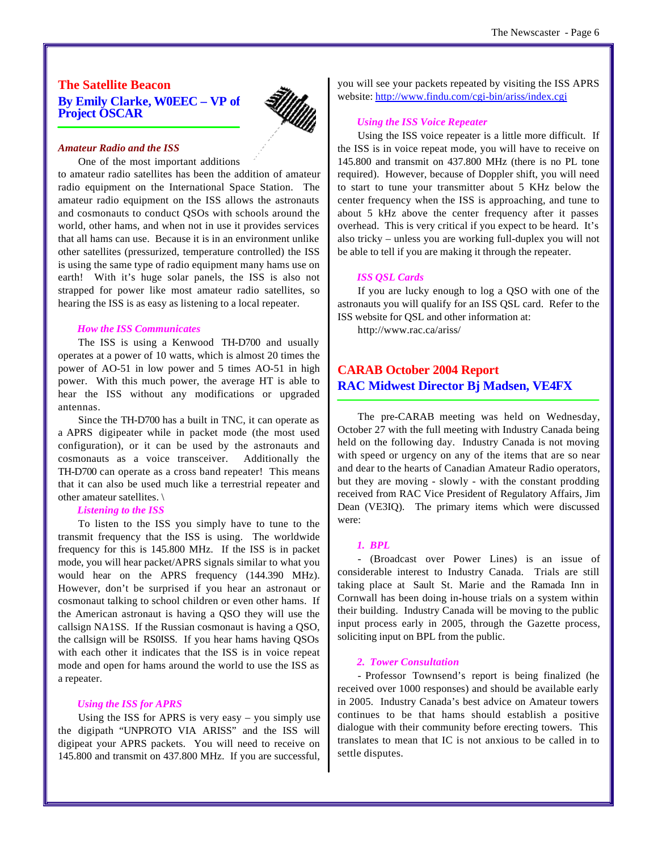## **The Satellite Beacon By Emily Clarke, W0EEC – VP of Project OSCAR**



## *Amateur Radio and the ISS*

One of the most important additions

to amateur radio satellites has been the addition of amateur radio equipment on the International Space Station. The amateur radio equipment on the ISS allows the astronauts and cosmonauts to conduct QSOs with schools around the world, other hams, and when not in use it provides services that all hams can use. Because it is in an environment unlike other satellites (pressurized, temperature controlled) the ISS is using the same type of radio equipment many hams use on earth! With it's huge solar panels, the ISS is also not strapped for power like most amateur radio satellites, so hearing the ISS is as easy as listening to a local repeater.

#### *How the ISS Communicates*

The ISS is using a Kenwood TH-D700 and usually operates at a power of 10 watts, which is almost 20 times the power of AO-51 in low power and 5 times AO-51 in high power. With this much power, the average HT is able to hear the ISS without any modifications or upgraded antennas.

Since the TH-D700 has a built in TNC, it can operate as a APRS digipeater while in packet mode (the most used configuration), or it can be used by the astronauts and cosmonauts as a voice transceiver. Additionally the TH-D700 can operate as a cross band repeater! This means that it can also be used much like a terrestrial repeater and other amateur satellites. \

#### *Listening to the ISS*

To listen to the ISS you simply have to tune to the transmit frequency that the ISS is using. The worldwide frequency for this is 145.800 MHz. If the ISS is in packet mode, you will hear packet/APRS signals similar to what you would hear on the APRS frequency (144.390 MHz). However, don't be surprised if you hear an astronaut or cosmonaut talking to school children or even other hams. If the American astronaut is having a QSO they will use the callsign NA1SS. If the Russian cosmonaut is having a QSO, the callsign will be RS0ISS. If you hear hams having QSOs with each other it indicates that the ISS is in voice repeat mode and open for hams around the world to use the ISS as a repeater.

## *Using the ISS for APRS*

Using the ISS for APRS is very easy – you simply use the digipath "UNPROTO VIA ARISS" and the ISS will digipeat your APRS packets. You will need to receive on 145.800 and transmit on 437.800 MHz. If you are successful,

you will see your packets repeated by visiting the ISS APRS website: <http://www.findu.com/cgi-bin/ariss/index.cgi>

## *Using the ISS Voice Repeater*

Using the ISS voice repeater is a little more difficult. If the ISS is in voice repeat mode, you will have to receive on 145.800 and transmit on 437.800 MHz (there is no PL tone required). However, because of Doppler shift, you will need to start to tune your transmitter about 5 KHz below the center frequency when the ISS is approaching, and tune to about 5 kHz above the center frequency after it passes overhead. This is very critical if you expect to be heard. It's also tricky – unless you are working full-duplex you will not be able to tell if you are making it through the repeater.

#### *ISS QSL Cards*

If you are lucky enough to log a QSO with one of the astronauts you will qualify for an ISS QSL card. Refer to the ISS website for QSL and other information at:

<http://www.rac.ca/ariss/>

## **CARAB October 2004 Report RAC Midwest Director Bj Madsen, VE4FX**

The pre-CARAB meeting was held on Wednesday, October 27 with the full meeting with Industry Canada being held on the following day. Industry Canada is not moving with speed or urgency on any of the items that are so near and dear to the hearts of Canadian Amateur Radio operators, but they are moving - slowly - with the constant prodding received from RAC Vice President of Regulatory Affairs, Jim Dean (VE3IQ). The primary items which were discussed were:

#### *1. BPL*

- (Broadcast over Power Lines) is an issue of considerable interest to Industry Canada. Trials are still taking place at Sault St. Marie and the Ramada Inn in Cornwall has been doing in-house trials on a system within their building. Industry Canada will be moving to the public input process early in 2005, through the Gazette process, soliciting input on BPL from the public.

#### *2. Tower Consultation*

- Professor Townsend's report is being finalized (he received over 1000 responses) and should be available early in 2005. Industry Canada's best advice on Amateur towers continues to be that hams should establish a positive dialogue with their community before erecting towers. This translates to mean that IC is not anxious to be called in to settle disputes.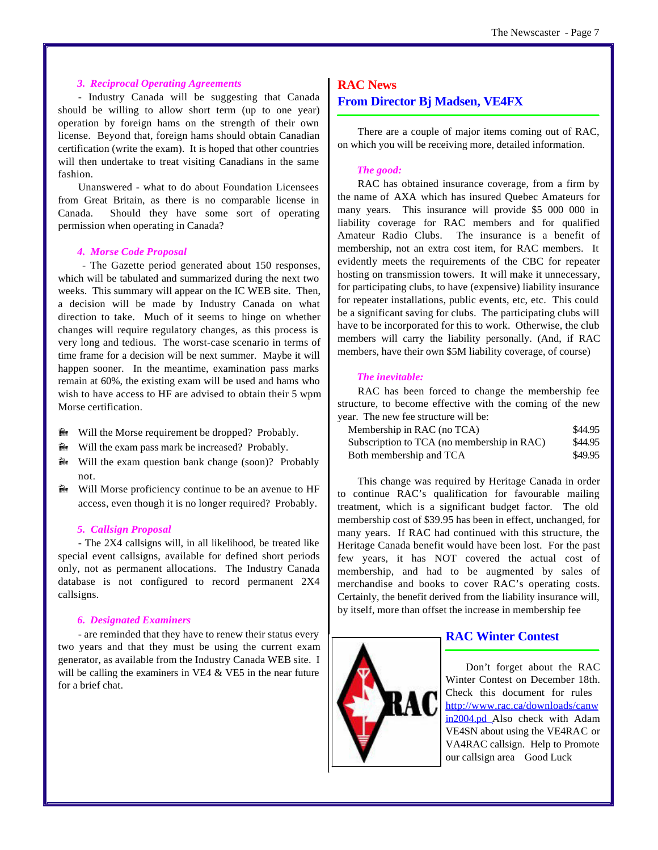## *3. Reciprocal Operating Agreements*

- Industry Canada will be suggesting that Canada should be willing to allow short term (up to one year) operation by foreign hams on the strength of their own license. Beyond that, foreign hams should obtain Canadian certification (write the exam). It is hoped that other countries will then undertake to treat visiting Canadians in the same fashion.

Unanswered - what to do about Foundation Licensees from Great Britain, as there is no comparable license in Canada. Should they have some sort of operating permission when operating in Canada?

## *4. Morse Code Proposal*

 - The Gazette period generated about 150 responses, which will be tabulated and summarized during the next two weeks. This summary will appear on the IC WEB site. Then, a decision will be made by Industry Canada on what direction to take. Much of it seems to hinge on whether changes will require regulatory changes, as this process is very long and tedious. The worst-case scenario in terms of time frame for a decision will be next summer. Maybe it will happen sooner. In the meantime, examination pass marks remain at 60%, the existing exam will be used and hams who wish to have access to HF are advised to obtain their 5 wpm Morse certification.

- **E** Will the Morse requirement be dropped? Probably.
- **E** Will the exam pass mark be increased? Probably.
- **E** Will the exam question bank change (soon)? Probably not.
- **E** Will Morse proficiency continue to be an avenue to HF access, even though it is no longer required? Probably.

#### *5. Callsign Proposal*

- The 2X4 callsigns will, in all likelihood, be treated like special event callsigns, available for defined short periods only, not as permanent allocations. The Industry Canada database is not configured to record permanent 2X4 callsigns.

## *6. Designated Examiners*

- are reminded that they have to renew their status every two years and that they must be using the current exam generator, as available from the Industry Canada WEB site. I will be calling the examiners in VE4 & VE5 in the near future for a brief chat.

## **RAC News**

## **From Director Bj Madsen, VE4FX**

There are a couple of major items coming out of RAC, on which you will be receiving more, detailed information.

## *The good:*

RAC has obtained insurance coverage, from a firm by the name of AXA which has insured Quebec Amateurs for many years. This insurance will provide \$5 000 000 in liability coverage for RAC members and for qualified Amateur Radio Clubs. The insurance is a benefit of membership, not an extra cost item, for RAC members. It evidently meets the requirements of the CBC for repeater hosting on transmission towers. It will make it unnecessary, for participating clubs, to have (expensive) liability insurance for repeater installations, public events, etc, etc. This could be a significant saving for clubs. The participating clubs will have to be incorporated for this to work. Otherwise, the club members will carry the liability personally. (And, if RAC members, have their own \$5M liability coverage, of course)

## *The inevitable:*

RAC has been forced to change the membership fee structure, to become effective with the coming of the new year. The new fee structure will be:

| Membership in RAC (no TCA)                 | \$44.95 |
|--------------------------------------------|---------|
| Subscription to TCA (no membership in RAC) | \$44.95 |
| Both membership and TCA                    | \$49.95 |

This change was required by Heritage Canada in order to continue RAC's qualification for favourable mailing treatment, which is a significant budget factor. The old membership cost of \$39.95 has been in effect, unchanged, for many years. If RAC had continued with this structure, the Heritage Canada benefit would have been lost. For the past few years, it has NOT covered the actual cost of membership, and had to be augmented by sales of merchandise and books to cover RAC's operating costs. Certainly, the benefit derived from the liability insurance will, by itself, more than offset the increase in membership fee



## **RAC Winter Contest**

Don't forget about the RAC Winter Contest on December 18th. Check this document for rules <http://www.rac.ca/downloads/canw> in2004.pd Also check with Adam VE4SN about using the VE4RAC or VA4RAC callsign. Help to Promote our callsign area Good Luck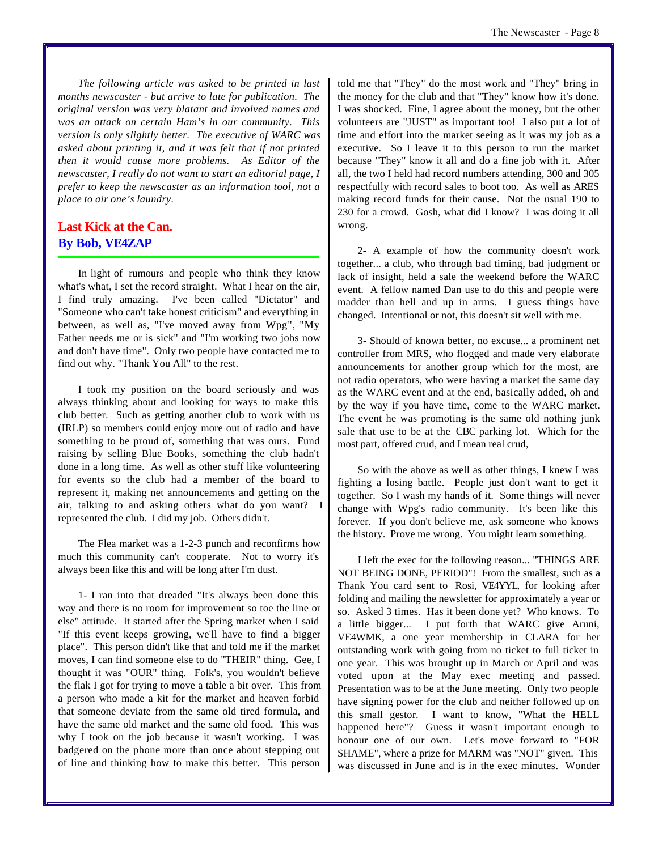*The following article was asked to be printed in last months newscaster - but arrive to late for publication. The original version was very blatant and involved names and was an attack on certain Ham's in our community. This version is only slightly better. The executive of WARC was asked about printing it, and it was felt that if not printed then it would cause more problems. As Editor of the newscaster, I really do not want to start an editorial page, I prefer to keep the newscaster as an information tool, not a place to air one's laundry.* 

## **Last Kick at the Can. By Bob, VE4ZAP**

In light of rumours and people who think they know what's what, I set the record straight. What I hear on the air, I find truly amazing. I've been called "Dictator" and "Someone who can't take honest criticism" and everything in between, as well as, "I've moved away from Wpg", "My Father needs me or is sick" and "I'm working two jobs now and don't have time". Only two people have contacted me to find out why. "Thank You All" to the rest.

I took my position on the board seriously and was always thinking about and looking for ways to make this club better. Such as getting another club to work with us (IRLP) so members could enjoy more out of radio and have something to be proud of, something that was ours. Fund raising by selling Blue Books, something the club hadn't done in a long time. As well as other stuff like volunteering for events so the club had a member of the board to represent it, making net announcements and getting on the air, talking to and asking others what do you want? I represented the club. I did my job. Others didn't.

The Flea market was a 1-2-3 punch and reconfirms how much this community can't cooperate. Not to worry it's always been like this and will be long after I'm dust.

1- I ran into that dreaded "It's always been done this way and there is no room for improvement so toe the line or else" attitude. It started after the Spring market when I said "If this event keeps growing, we'll have to find a bigger place". This person didn't like that and told me if the market moves, I can find someone else to do "THEIR" thing. Gee, I thought it was "OUR" thing. Folk's, you wouldn't believe the flak I got for trying to move a table a bit over. This from a person who made a kit for the market and heaven forbid that someone deviate from the same old tired formula, and have the same old market and the same old food. This was why I took on the job because it wasn't working. I was badgered on the phone more than once about stepping out of line and thinking how to make this better. This person

told me that "They" do the most work and "They" bring in the money for the club and that "They" know how it's done. I was shocked. Fine, I agree about the money, but the other volunteers are "JUST" as important too! I also put a lot of time and effort into the market seeing as it was my job as a executive. So I leave it to this person to run the market because "They" know it all and do a fine job with it. After all, the two I held had record numbers attending, 300 and 305 respectfully with record sales to boot too. As well as ARES making record funds for their cause. Not the usual 190 to 230 for a crowd. Gosh, what did I know? I was doing it all wrong.

2- A example of how the community doesn't work together... a club, who through bad timing, bad judgment or lack of insight, held a sale the weekend before the WARC event. A fellow named Dan use to do this and people were madder than hell and up in arms. I guess things have changed. Intentional or not, this doesn't sit well with me.

3- Should of known better, no excuse... a prominent net controller from MRS, who flogged and made very elaborate announcements for another group which for the most, are not radio operators, who were having a market the same day as the WARC event and at the end, basically added, oh and by the way if you have time, come to the WARC market. The event he was promoting is the same old nothing junk sale that use to be at the CBC parking lot. Which for the most part, offered crud, and I mean real crud,

So with the above as well as other things, I knew I was fighting a losing battle. People just don't want to get it together. So I wash my hands of it. Some things will never change with Wpg's radio community. It's been like this forever. If you don't believe me, ask someone who knows the history. Prove me wrong. You might learn something.

I left the exec for the following reason... "THINGS ARE NOT BEING DONE, PERIOD"! From the smallest, such as a Thank You card sent to Rosi, VE4YYL, for looking after folding and mailing the newsletter for approximately a year or so. Asked 3 times. Has it been done yet? Who knows. To a little bigger... I put forth that WARC give Aruni, VE4WMK, a one year membership in CLARA for her outstanding work with going from no ticket to full ticket in one year. This was brought up in March or April and was voted upon at the May exec meeting and passed. Presentation was to be at the June meeting. Only two people have signing power for the club and neither followed up on this small gestor. I want to know, "What the HELL happened here"? Guess it wasn't important enough to honour one of our own. Let's move forward to "FOR SHAME", where a prize for MARM was "NOT" given. This was discussed in June and is in the exec minutes. Wonder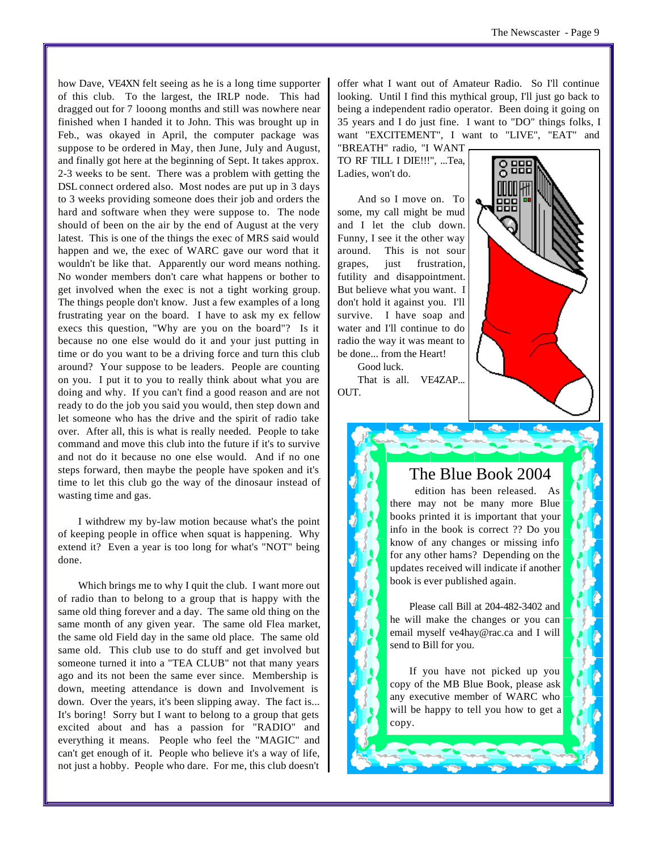how Dave, VE4XN felt seeing as he is a long time supporter of this club. To the largest, the IRLP node. This had dragged out for 7 looong months and still was nowhere near finished when I handed it to John. This was brought up in Feb., was okayed in April, the computer package was suppose to be ordered in May, then June, July and August, and finally got here at the beginning of Sept. It takes approx. 2-3 weeks to be sent. There was a problem with getting the DSL connect ordered also. Most nodes are put up in 3 days to 3 weeks providing someone does their job and orders the hard and software when they were suppose to. The node should of been on the air by the end of August at the very latest. This is one of the things the exec of MRS said would happen and we, the exec of WARC gave our word that it wouldn't be like that. Apparently our word means nothing. No wonder members don't care what happens or bother to get involved when the exec is not a tight working group. The things people don't know. Just a few examples of a long frustrating year on the board. I have to ask my ex fellow execs this question, "Why are you on the board"? Is it because no one else would do it and your just putting in time or do you want to be a driving force and turn this club around? Your suppose to be leaders. People are counting on you. I put it to you to really think about what you are doing and why. If you can't find a good reason and are not ready to do the job you said you would, then step down and let someone who has the drive and the spirit of radio take over. After all, this is what is really needed. People to take command and move this club into the future if it's to survive and not do it because no one else would. And if no one steps forward, then maybe the people have spoken and it's time to let this club go the way of the dinosaur instead of wasting time and gas.

I withdrew my by-law motion because what's the point of keeping people in office when squat is happening. Why extend it? Even a year is too long for what's "NOT" being done.

Which brings me to why I quit the club. I want more out of radio than to belong to a group that is happy with the same old thing forever and a day. The same old thing on the same month of any given year. The same old Flea market, the same old Field day in the same old place. The same old same old. This club use to do stuff and get involved but someone turned it into a "TEA CLUB" not that many years ago and its not been the same ever since. Membership is down, meeting attendance is down and Involvement is down. Over the years, it's been slipping away. The fact is... It's boring! Sorry but I want to belong to a group that gets excited about and has a passion for "RADIO" and everything it means. People who feel the "MAGIC" and can't get enough of it. People who believe it's a way of life, not just a hobby. People who dare. For me, this club doesn't offer what I want out of Amateur Radio. So I'll continue looking. Until I find this mythical group, I'll just go back to being a independent radio operator. Been doing it going on 35 years and I do just fine. I want to "DO" things folks, I want "EXCITEMENT", I want to "LIVE", "EAT" and

"BREATH" radio, "I WANT TO RF TILL I DIE!!!", ...Tea, Ladies, won't do.

And so I move on. To some, my call might be mud and I let the club down. Funny, I see it the other way around. This is not sour grapes, just frustration, futility and disappointment. But believe what you want. I don't hold it against you. I'll survive. I have soap and water and I'll continue to do radio the way it was meant to be done... from the Heart!

Good luck. That is all. VE4ZAP... OUT.



## The Blue Book 2004

 edition has been released. As there may not be many more Blue books printed it is important that your info in the book is correct ?? Do you know of any changes or missing info for any other hams? Depending on the updates received will indicate if another book is ever published again.

Please call Bill at 204-482-3402 and he will make the changes or you can email myself ve4hay@rac.ca and I will send to Bill for you.

If you have not picked up you copy of the MB Blue Book, please ask any executive member of WARC who will be happy to tell you how to get a copy.